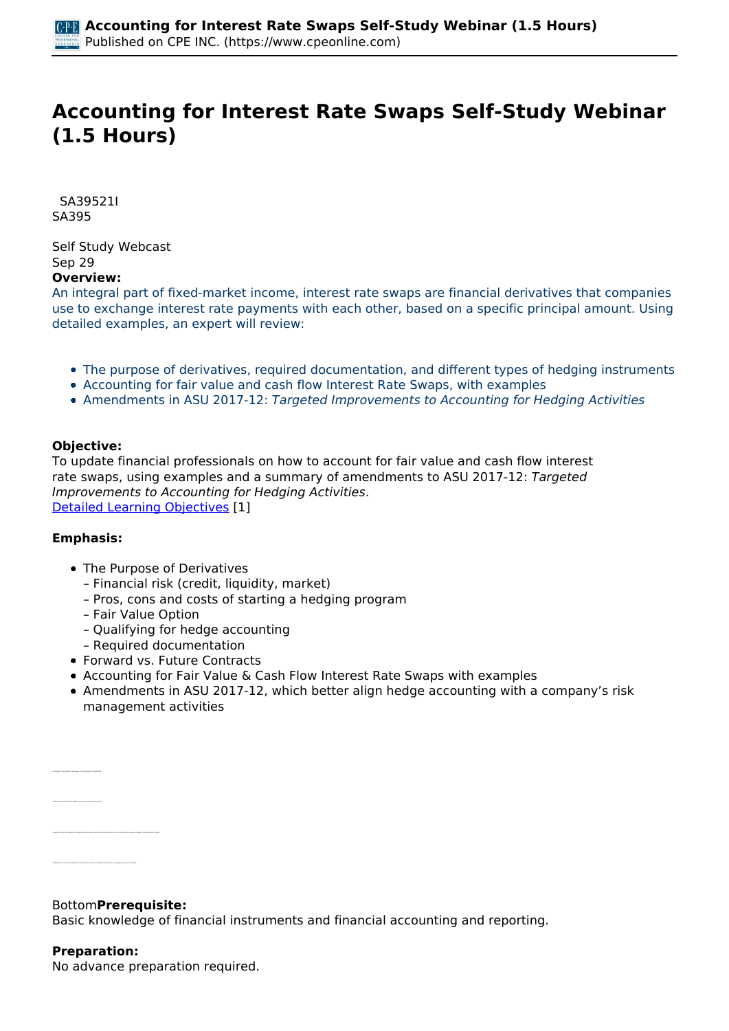# **Accounting for Interest Rate Swaps Self-Study Webinar (1.5 Hours)**

 *SA39521I SA395* 

*Self Study Webcast Sep 29*  **Overview:** 

*An integral part of fixed-market income, interest rate swaps are financial derivatives that companies use to exchange interest rate payments with each other, based on a specific principal amount. Using detailed examples, an expert will review:*

- *The purpose of derivatives, required documentation, and different types of hedging instruments*
- *Accounting for fair value and cash flow Interest Rate Swaps, with examples*
- *Amendments in ASU 2017-12: Targeted Improvements to Accounting for Hedging Activities*

# **Objective:**

*To update financial professionals on how to account for fair value and cash flow interest* rate swaps, using examples and a summary of amendments to ASU 2017-12: Targeted *Improvements to Accounting for Hedging Activities. [Detailed Learning Objectives](https://www.cpeonline.com/JavaScript:showObjectivesPopup();) [1]*

# **Emphasis:**

- *The Purpose of Derivatives*
	- *Financial risk (credit, liquidity, market)*
	- *Pros, cons and costs of starting a hedging program*
	- *Fair Value Option*
	- *Qualifying for hedge accounting*
	- *Required documentation*
- *Forward vs. Future Contracts*
- *Accounting for Fair Value & Cash Flow Interest Rate Swaps with examples*
- *Amendments in ASU 2017-12, which better align hedge accounting with a company's risk management activities*

*Bottom***Prerequisite:** 

*Basic knowledge of financial instruments and financial accounting and reporting.*

#### **Preparation:**

*• Identify the criteria necessary for the use of the short-cut method for interest rate swaps by a public business* 

*• Recognize the relative complexity of accounting for derivatives*

*No advance preparation required.*